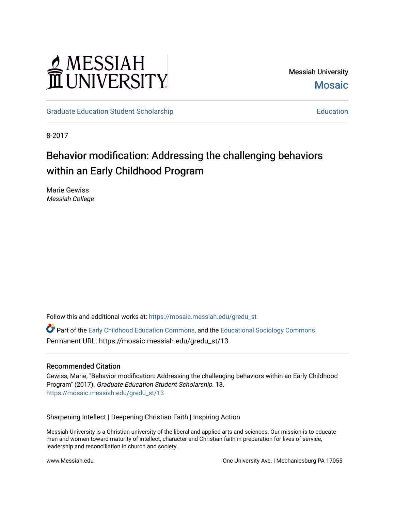# MESSIAH<br>II UNIVERSITY

Messiah University **Mosaic** 

[Graduate Education Student Scholarship](https://mosaic.messiah.edu/gredu_st) [Education](https://mosaic.messiah.edu/grad_education) Education Education

8-2017

# Behavior modification: Addressing the challenging behaviors within an Early Childhood Program

Marie Gewiss Messiah College

Follow this and additional works at: [https://mosaic.messiah.edu/gredu\\_st](https://mosaic.messiah.edu/gredu_st?utm_source=mosaic.messiah.edu%2Fgredu_st%2F13&utm_medium=PDF&utm_campaign=PDFCoverPages) 

Part of the [Early Childhood Education Commons,](http://network.bepress.com/hgg/discipline/1377?utm_source=mosaic.messiah.edu%2Fgredu_st%2F13&utm_medium=PDF&utm_campaign=PDFCoverPages) and the [Educational Sociology Commons](http://network.bepress.com/hgg/discipline/1071?utm_source=mosaic.messiah.edu%2Fgredu_st%2F13&utm_medium=PDF&utm_campaign=PDFCoverPages)  Permanent URL: https://mosaic.messiah.edu/gredu\_st/13

#### Recommended Citation

Gewiss, Marie, "Behavior modification: Addressing the challenging behaviors within an Early Childhood Program" (2017). Graduate Education Student Scholarship. 13. [https://mosaic.messiah.edu/gredu\\_st/13](https://mosaic.messiah.edu/gredu_st/13?utm_source=mosaic.messiah.edu%2Fgredu_st%2F13&utm_medium=PDF&utm_campaign=PDFCoverPages)

Sharpening Intellect | Deepening Christian Faith | Inspiring Action

Messiah University is a Christian university of the liberal and applied arts and sciences. Our mission is to educate men and women toward maturity of intellect, character and Christian faith in preparation for lives of service, leadership and reconciliation in church and society.

www.Messiah.edu **One University Ave. | Mechanicsburg PA 17055**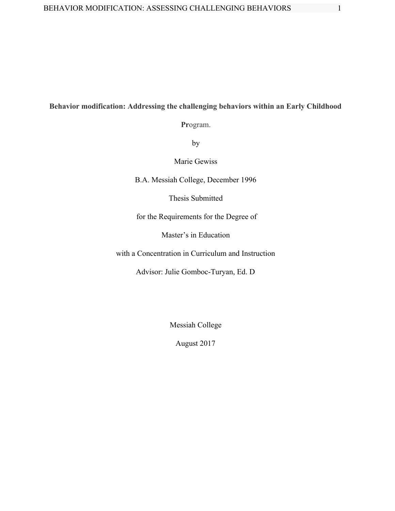# **Behavior modification: Addressing the challenging behaviors within an Early Childhood**

**Pr**ogram.

by

Marie Gewiss

B.A. Messiah College, December 1996

Thesis Submitted

for the Requirements for the Degree of

Master's in Education

with a Concentration in Curriculum and Instruction

Advisor: Julie Gomboc-Turyan, Ed. D

Messiah College

August 2017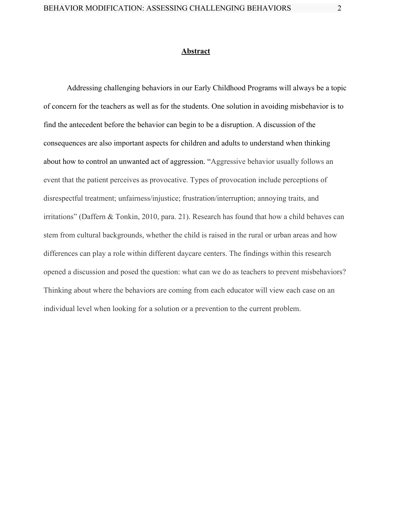#### **Abstract**

Addressing challenging behaviors in our Early Childhood Programs will always be a topic of concern for the teachers as well as for the students. One solution in avoiding misbehavior is to find the antecedent before the behavior can begin to be a disruption. A discussion of the consequences are also important aspects for children and adults to understand when thinking about how to control an unwanted act of aggression. "Aggressive behavior usually follows an event that the patient perceives as provocative. Types of provocation include perceptions of disrespectful treatment; unfairness/injustice; frustration/interruption; annoying traits, and irritations" (Daffern & Tonkin, 2010, para. 21). Research has found that how a child behaves can stem from cultural backgrounds, whether the child is raised in the rural or urban areas and how differences can play a role within different daycare centers. The findings within this research opened a discussion and posed the question: what can we do as teachers to prevent misbehaviors? Thinking about where the behaviors are coming from each educator will view each case on an individual level when looking for a solution or a prevention to the current problem.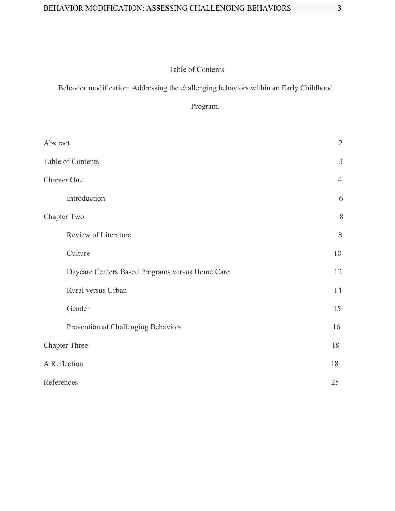# Table of Contents

Behavior modification: Addressing the challenging behaviors within an Early Childhood

# Program.

| Abstract                                        | $\overline{2}$ |
|-------------------------------------------------|----------------|
| Table of Contents                               | 3              |
| <b>Chapter One</b>                              | $\overline{4}$ |
| Introduction                                    | 6              |
| Chapter Two                                     | 8              |
| Review of Literature                            | 8              |
| Culture                                         | 10             |
| Daycare Centers Based Programs versus Home Care | 12             |
| Rural versus Urban                              | 14             |
| Gender                                          | 15             |
| Prevention of Challenging Behaviors             | 16             |
| <b>Chapter Three</b>                            | 18             |
| A Reflection                                    | 18             |
| References                                      | 25             |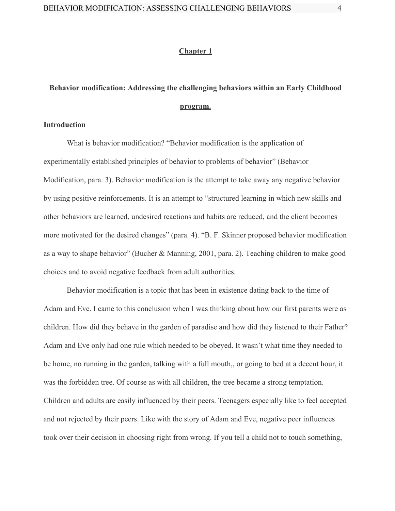#### **Chapter 1**

# **Behavior modification: Addressing the challenging behaviors within an Early Childhood program.**

#### **Introduction**

What is behavior modification? "Behavior modification is the application of experimentally established principles of behavior to problems of behavior" (Behavior Modification, para. 3). Behavior modification is the attempt to take away any negative behavior by using positive reinforcements. It is an attempt to "structured learning in which new skills and other behaviors are learned, undesired reactions and habits are reduced, and the client becomes more motivated for the desired changes" (para. 4). "B. F. Skinner proposed behavior modification as a way to shape behavior" (Bucher & Manning, 2001, para. 2). Teaching children to make good choices and to avoid negative feedback from adult authorities.

Behavior modification is a topic that has been in existence dating back to the time of Adam and Eve. I came to this conclusion when I was thinking about how our first parents were as children. How did they behave in the garden of paradise and how did they listened to their Father? Adam and Eve only had one rule which needed to be obeyed. It wasn't what time they needed to be home, no running in the garden, talking with a full mouth,, or going to bed at a decent hour, it was the forbidden tree. Of course as with all children, the tree became a strong temptation. Children and adults are easily influenced by their peers. Teenagers especially like to feel accepted and not rejected by their peers. Like with the story of Adam and Eve, negative peer influences took over their decision in choosing right from wrong. If you tell a child not to touch something,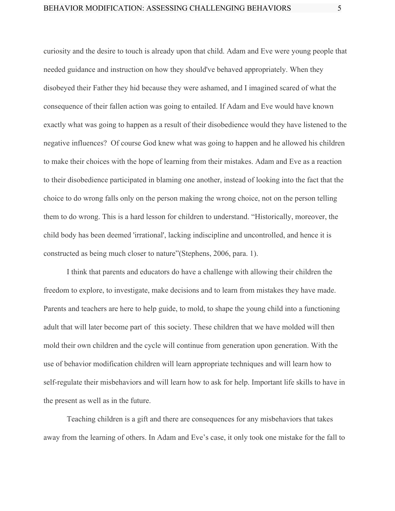curiosity and the desire to touch is already upon that child. Adam and Eve were young people that needed guidance and instruction on how they should've behaved appropriately. When they disobeyed their Father they hid because they were ashamed, and I imagined scared of what the consequence of their fallen action was going to entailed. If Adam and Eve would have known exactly what was going to happen as a result of their disobedience would they have listened to the negative influences? Of course God knew what was going to happen and he allowed his children to make their choices with the hope of learning from their mistakes. Adam and Eve as a reaction to their disobedience participated in blaming one another, instead of looking into the fact that the choice to do wrong falls only on the person making the wrong choice, not on the person telling them to do wrong. This is a hard lesson for children to understand. "Historically, moreover, the child body has been deemed 'irrational', lacking indiscipline and uncontrolled, and hence it is constructed as being much closer to nature"(Stephens, 2006, para. 1).

I think that parents and educators do have a challenge with allowing their children the freedom to explore, to investigate, make decisions and to learn from mistakes they have made. Parents and teachers are here to help guide, to mold, to shape the young child into a functioning adult that will later become part of this society. These children that we have molded will then mold their own children and the cycle will continue from generation upon generation. With the use of behavior modification children will learn appropriate techniques and will learn how to self-regulate their misbehaviors and will learn how to ask for help. Important life skills to have in the present as well as in the future.

Teaching children is a gift and there are consequences for any misbehaviors that takes away from the learning of others. In Adam and Eve's case, it only took one mistake for the fall to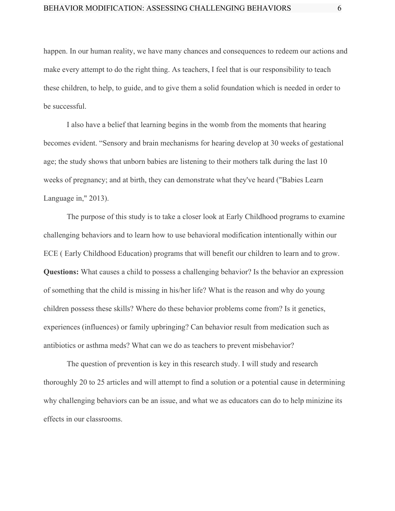happen. In our human reality, we have many chances and consequences to redeem our actions and make every attempt to do the right thing. As teachers, I feel that is our responsibility to teach these children, to help, to guide, and to give them a solid foundation which is needed in order to be successful.

I also have a belief that learning begins in the womb from the moments that hearing becomes evident. "Sensory and brain mechanisms for hearing develop at 30 weeks of gestational age; the study shows that unborn babies are listening to their mothers talk during the last 10 weeks of pregnancy; and at birth, they can demonstrate what they've heard ("Babies Learn Language in," 2013).

The purpose of this study is to take a closer look at Early Childhood programs to examine challenging behaviors and to learn how to use behavioral modification intentionally within our ECE ( Early Childhood Education) programs that will benefit our children to learn and to grow. **Questions:** What causes a child to possess a challenging behavior? Is the behavior an expression of something that the child is missing in his/her life? What is the reason and why do young children possess these skills? Where do these behavior problems come from? Is it genetics, experiences (influences) or family upbringing? Can behavior result from medication such as antibiotics or asthma meds? What can we do as teachers to prevent misbehavior?

The question of prevention is key in this research study. I will study and research thoroughly 20 to 25 articles and will attempt to find a solution or a potential cause in determining why challenging behaviors can be an issue, and what we as educators can do to help minizine its effects in our classrooms.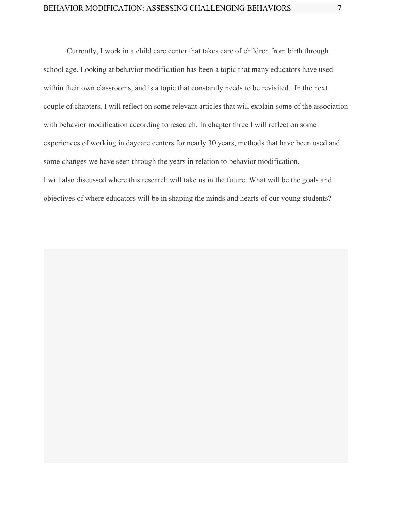Currently, I work in a child care center that takes care of children from birth through school age. Looking at behavior modification has been a topic that many educators have used within their own classrooms, and is a topic that constantly needs to be revisited. In the next couple of chapters, I will reflect on some relevant articles that will explain some of the association with behavior modification according to research. In chapter three I will reflect on some experiences of working in daycare centers for nearly 30 years, methods that have been used and some changes we have seen through the years in relation to behavior modification. I will also discussed where this research will take us in the future. What will be the goals and objectives of where educators will be in shaping the minds and hearts of our young students?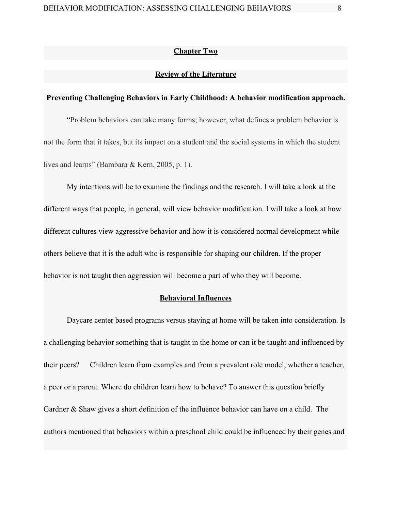#### **Chapter Two**

## **Review of the Literature**

#### **Preventing Challenging Behaviors in Early Childhood: A behavior modification approach.**

"Problem behaviors can take many forms; however, what defines a problem behavior is not the form that it takes, but its impact on a student and the social systems in which the student lives and learns" (Bambara & Kern, 2005, p. 1).

My intentions will be to examine the findings and the research. I will take a look at the different ways that people, in general, will view behavior modification. I will take a look at how different cultures view aggressive behavior and how it is considered normal development while others believe that it is the adult who is responsible for shaping our children. If the proper behavior is not taught then aggression will become a part of who they will become.

#### **Behavioral Influences**

Daycare center based programs versus staying at home will be taken into consideration. Is a challenging behavior something that is taught in the home or can it be taught and influenced by their peers? Children learn from examples and from a prevalent role model, whether a teacher, a peer or a parent. Where do children learn how to behave? To answer this question briefly Gardner & Shaw gives a short definition of the influence behavior can have on a child. The authors mentioned that behaviors within a preschool child could be influenced by their genes and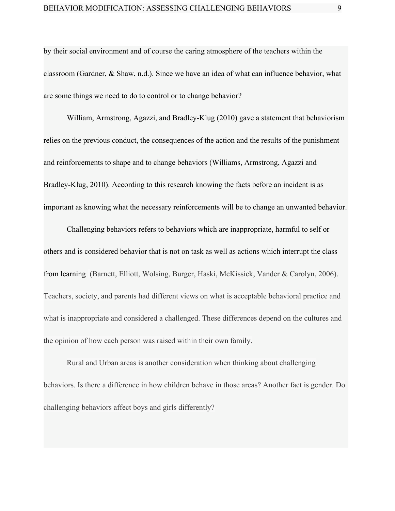by their social environment and of course the caring atmosphere of the teachers within the classroom (Gardner, & Shaw, n.d.). Since we have an idea of what can influence behavior, what are some things we need to do to control or to change behavior?

William, Armstrong, Agazzi, and Bradley-Klug (2010) gave a statement that behaviorism relies on the previous conduct, the consequences of the action and the results of the punishment and reinforcements to shape and to change behaviors (Williams, Armstrong, Agazzi and Bradley-Klug, 2010). According to this research knowing the facts before an incident is as important as knowing what the necessary reinforcements will be to change an unwanted behavior.

Challenging behaviors refers to behaviors which are inappropriate, harmful to self or others and is considered behavior that is not on task as well as actions which interrupt the class from learning (Barnett, Elliott, Wolsing, Burger, Haski, McKissick, Vander & Carolyn, 2006). Teachers, society, and parents had different views on what is acceptable behavioral practice and what is inappropriate and considered a challenged. These differences depend on the cultures and the opinion of how each person was raised within their own family.

Rural and Urban areas is another consideration when thinking about challenging behaviors. Is there a difference in how children behave in those areas? Another fact is gender. Do challenging behaviors affect boys and girls differently?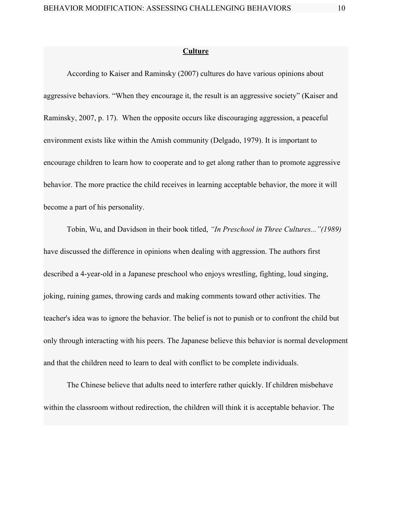#### **Culture**

According to Kaiser and Raminsky (2007) cultures do have various opinions about aggressive behaviors. "When they encourage it, the result is an aggressive society" (Kaiser and Raminsky, 2007, p. 17). When the opposite occurs like discouraging aggression, a peaceful environment exists like within the Amish community (Delgado, 1979). It is important to encourage children to learn how to cooperate and to get along rather than to promote aggressive behavior. The more practice the child receives in learning acceptable behavior, the more it will become a part of his personality.

Tobin, Wu, and Davidson in their book titled, *"In Preschool in Three Cultures..."(1989)* have discussed the difference in opinions when dealing with aggression. The authors first described a 4-year-old in a Japanese preschool who enjoys wrestling, fighting, loud singing, joking, ruining games, throwing cards and making comments toward other activities. The teacher's idea was to ignore the behavior. The belief is not to punish or to confront the child but only through interacting with his peers. The Japanese believe this behavior is normal development and that the children need to learn to deal with conflict to be complete individuals.

The Chinese believe that adults need to interfere rather quickly. If children misbehave within the classroom without redirection, the children will think it is acceptable behavior. The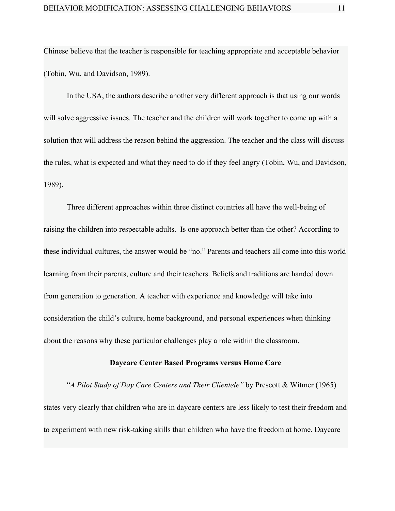Chinese believe that the teacher is responsible for teaching appropriate and acceptable behavior (Tobin, Wu, and Davidson, 1989).

In the USA, the authors describe another very different approach is that using our words will solve aggressive issues. The teacher and the children will work together to come up with a solution that will address the reason behind the aggression. The teacher and the class will discuss the rules, what is expected and what they need to do if they feel angry (Tobin, Wu, and Davidson, 1989).

Three different approaches within three distinct countries all have the well-being of raising the children into respectable adults. Is one approach better than the other? According to these individual cultures, the answer would be "no." Parents and teachers all come into this world learning from their parents, culture and their teachers. Beliefs and traditions are handed down from generation to generation. A teacher with experience and knowledge will take into consideration the child's culture, home background, and personal experiences when thinking about the reasons why these particular challenges play a role within the classroom.

#### **Daycare Center Based Programs versus Home Care**

"*A Pilot Study of Day Care Centers and Their Clientele"* by Prescott & Witmer (1965) states very clearly that children who are in daycare centers are less likely to test their freedom and to experiment with new risk-taking skills than children who have the freedom at home. Daycare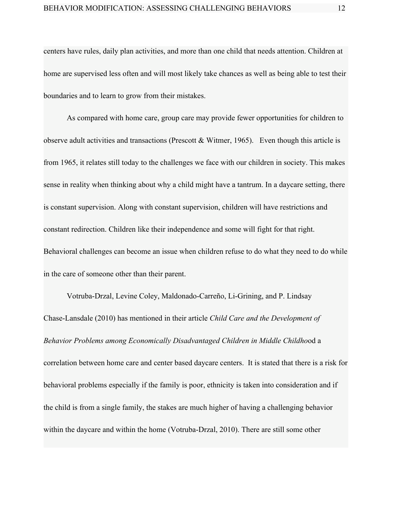centers have rules, daily plan activities, and more than one child that needs attention. Children at home are supervised less often and will most likely take chances as well as being able to test their boundaries and to learn to grow from their mistakes.

As compared with home care, group care may provide fewer opportunities for children to observe adult activities and transactions (Prescott  $&$  Witmer, 1965). Even though this article is from 1965, it relates still today to the challenges we face with our children in society. This makes sense in reality when thinking about why a child might have a tantrum. In a daycare setting, there is constant supervision. Along with constant supervision, children will have restrictions and constant redirection. Children like their independence and some will fight for that right. Behavioral challenges can become an issue when children refuse to do what they need to do while in the care of someone other than their parent.

[Votruba-Drzal,](https://www.ncbi.nlm.nih.gov/pubmed/?term=Votruba-Drzal%20E%5BAuthor%5D&cauthor=true&cauthor_uid=20840234) [Levine](https://www.ncbi.nlm.nih.gov/pubmed/?term=Coley%20RL%5BAuthor%5D&cauthor=true&cauthor_uid=20840234) Coley, [Maldonado-Carreño,](https://www.ncbi.nlm.nih.gov/pubmed/?term=Maldonado-Carre%26%23x000f1%3Bo%20C%5BAuthor%5D&cauthor=true&cauthor_uid=20840234) [Li-Grining,](https://www.ncbi.nlm.nih.gov/pubmed/?term=Li-Grining%20C%5BAuthor%5D&cauthor=true&cauthor_uid=20840234) and P. [Lindsay](https://www.ncbi.nlm.nih.gov/pubmed/?term=Chase-Lansdale%20PL%5BAuthor%5D&cauthor=true&cauthor_uid=20840234) [Chase-Lansdale](https://www.ncbi.nlm.nih.gov/pubmed/?term=Chase-Lansdale%20PL%5BAuthor%5D&cauthor=true&cauthor_uid=20840234) (2010) has mentioned in their article *Child Care and the Development of Behavior Problems among Economically Disadvantaged Children in Middle Childho*od a correlation between home care and center based daycare centers. It is stated that there is a risk for behavioral problems especially if the family is poor, ethnicity is taken into consideration and if the child is from a single family, the stakes are much higher of having a challenging behavior within the daycare and within the home (Votruba-Drzal, 2010). There are still some other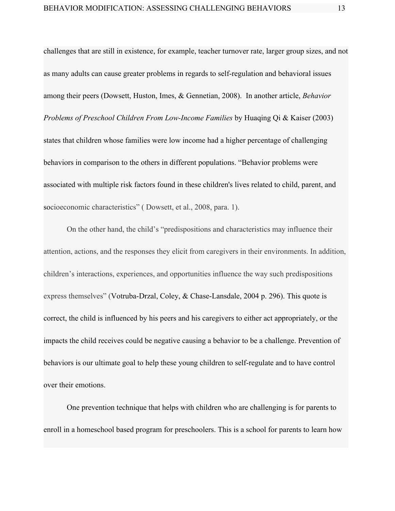challenges that are still in existence, for example, teacher turnover rate, larger group sizes, and not as many adults can cause greater problems in regards to self-regulation and behavioral issues among their peers (Dowsett, Huston, Imes, & [Gennetian,](https://www.ncbi.nlm.nih.gov/pmc/articles/PMC2941232/#R17) 2008). In another article, *Behavior Problems of Preschool Children From Low-Income Families* by Huaqing Qi & Kaiser (2003) states that children whose families were low income had a higher percentage of challenging behaviors in comparison to the others in different populations. "Behavior problems were associated with multiple risk factors found in these children's lives related to child, parent, and socioeconomic characteristics" (Dowsett, et al., 2008, para. 1).

On the other hand, the child's "predispositions and characteristics may influence their attention, actions, and the responses they elicit from caregivers in their environments. In addition, children's interactions, experiences, and opportunities influence the way such predispositions express themselves" (Votruba-Drzal, Coley, & Chase-Lansdale, 2004 p. 296). This quote is correct, the child is influenced by his peers and his caregivers to either act appropriately, or the impacts the child receives could be negative causing a behavior to be a challenge. Prevention of behaviors is our ultimate goal to help these young children to self-regulate and to have control over their emotions.

One prevention technique that helps with children who are challenging is for parents to enroll in a homeschool based program for preschoolers. This is a school for parents to learn how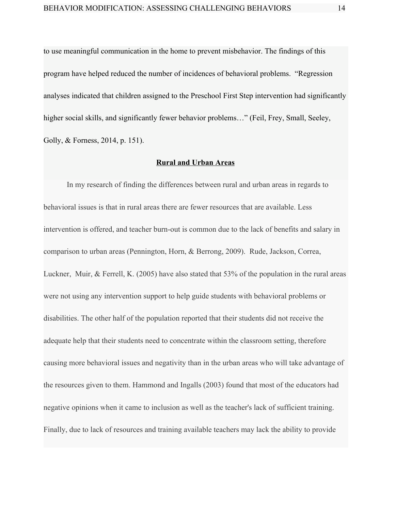to use meaningful communication in the home to prevent misbehavior. The findings of this program have helped reduced the number of incidences of behavioral problems. "Regression analyses indicated that children assigned to the Preschool First Step intervention had significantly higher social skills, and significantly fewer behavior problems..." (Feil, Frey, Small, Seeley, Golly, & Forness, 2014, p. 151).

## **Rural and Urban Areas**

In my research of finding the differences between rural and urban areas in regards to behavioral issues is that in rural areas there are fewer resources that are available. Less intervention is offered, and teacher burn-out is common due to the lack of benefits and salary in comparison to urban areas (Pennington, Horn, & Berrong, 2009). Rude, Jackson, Correa, Luckner, Muir, & Ferrell, K. (2005) have also stated that 53% of the population in the rural areas were not using any intervention support to help guide students with behavioral problems or disabilities. The other half of the population reported that their students did not receive the adequate help that their students need to concentrate within the classroom setting, therefore causing more behavioral issues and negativity than in the urban areas who will take advantage of the resources given to them. Hammond and Ingalls (2003) found that most of the educators had negative opinions when it came to inclusion as well as the teacher's lack of sufficient training. Finally, due to lack of resources and training available teachers may lack the ability to provide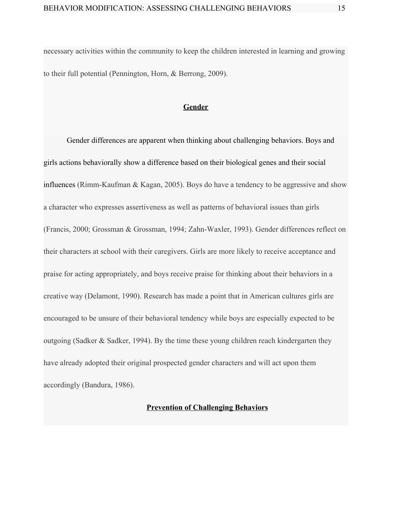necessary activities within the community to keep the children interested in learning and growing to their full potential (Pennington, Horn, & Berrong, 2009).

## **Gender**

Gender differences are apparent when thinking about challenging behaviors. Boys and girls actions behaviorally show a difference based on their biological genes and their social influences (Rimm-Kaufman & Kagan, 2005). Boys do have a tendency to be aggressive and show a character who expresses assertiveness as well as patterns of behavioral issues than girls (Francis, 2000; Grossman & Grossman, 1994; Zahn-Waxler, 1993). Gender differences reflect on their characters at school with their caregivers. Girls are more likely to receive acceptance and praise for acting appropriately, and boys receive praise for thinking about their behaviors in a creative way (Delamont, 1990). Research has made a point that in American cultures girls are encouraged to be unsure of their behavioral tendency while boys are especially expected to be outgoing (Sadker & Sadker, 1994). By the time these young children reach kindergarten they have already adopted their original prospected gender characters and will act upon them accordingly (Bandura, 1986).

# **Prevention of Challenging Behaviors**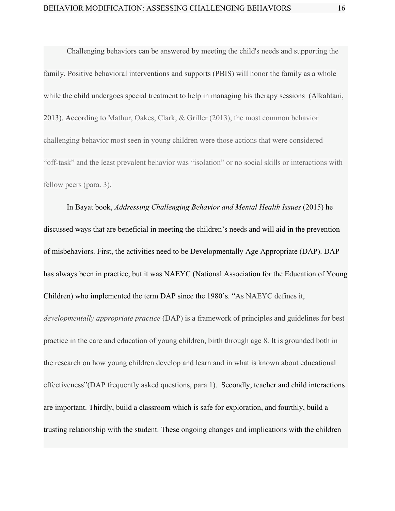Challenging behaviors can be answered by meeting the child's needs and supporting the family. Positive behavioral interventions and supports (PBIS) will honor the family as a whole while the child undergoes special treatment to help in managing his therapy sessions (Alkahtani, 2013). According to Mathur, Oakes, Clark, & Griller (2013), the most common behavior challenging behavior most seen in young children were those actions that were considered "off-task" and the least prevalent behavior was "isolation" or no social skills or interactions with fellow peers (para. 3).

In Bayat book, *Addressing Challenging Behavior and Mental Health Issues* (2015) he discussed ways that are beneficial in meeting the children's needs and will aid in the prevention of misbehaviors. First, the activities need to be Developmentally Age Appropriate (DAP). DAP has always been in practice, but it was NAEYC (National Association for the Education of Young Children) who implemented the term DAP since the 1980's. "As NAEYC defines it, *developmentally appropriate practice* (DAP) is a framework of principles and guidelines for best practice in the care and education of young children, birth through age 8. It is grounded both in the research on how young children develop and learn and in what is known about educational effectiveness"(DAP frequently asked questions, para 1). Secondly, teacher and child interactions are important. Thirdly, build a classroom which is safe for exploration, and fourthly, build a trusting relationship with the student. These ongoing changes and implications with the children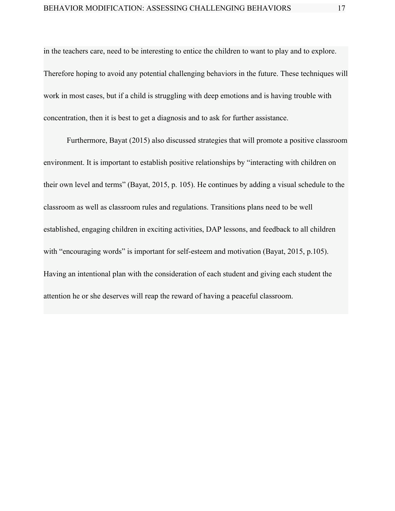in the teachers care, need to be interesting to entice the children to want to play and to explore. Therefore hoping to avoid any potential challenging behaviors in the future. These techniques will work in most cases, but if a child is struggling with deep emotions and is having trouble with concentration, then it is best to get a diagnosis and to ask for further assistance.

Furthermore, Bayat (2015) also discussed strategies that will promote a positive classroom environment. It is important to establish positive relationships by "interacting with children on their own level and terms" (Bayat, 2015, p. 105). He continues by adding a visual schedule to the classroom as well as classroom rules and regulations. Transitions plans need to be well established, engaging children in exciting activities, DAP lessons, and feedback to all children with "encouraging words" is important for self-esteem and motivation (Bayat, 2015, p.105). Having an intentional plan with the consideration of each student and giving each student the attention he or she deserves will reap the reward of having a peaceful classroom.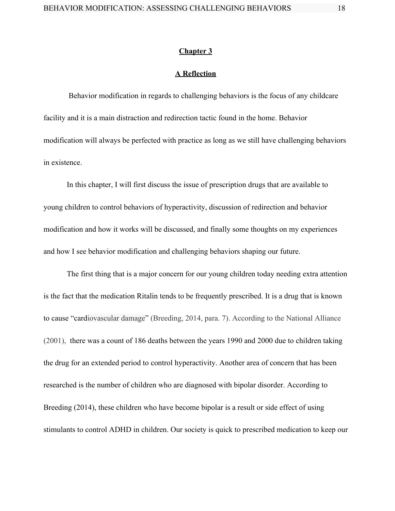#### **Chapter 3**

# **A Reflection**

Behavior modification in regards to challenging behaviors is the focus of any childcare facility and it is a main distraction and redirection tactic found in the home. Behavior modification will always be perfected with practice as long as we still have challenging behaviors in existence.

In this chapter, I will first discuss the issue of prescription drugs that are available to young children to control behaviors of hyperactivity, discussion of redirection and behavior modification and how it works will be discussed, and finally some thoughts on my experiences and how I see behavior modification and challenging behaviors shaping our future.

The first thing that is a major concern for our young children today needing extra attention is the fact that the medication Ritalin tends to be frequently prescribed. It is a drug that is known to cause "cardiovascular damage" (Breeding, 2014, para. 7). According to the National Alliance (2001), there was a count of 186 deaths between the years 1990 and 2000 due to children taking the drug for an extended period to control hyperactivity. Another area of concern that has been researched is the number of children who are diagnosed with bipolar disorder. According to Breeding (2014), these children who have become bipolar is a result or side effect of using stimulants to control ADHD in children. Our society is quick to prescribed medication to keep our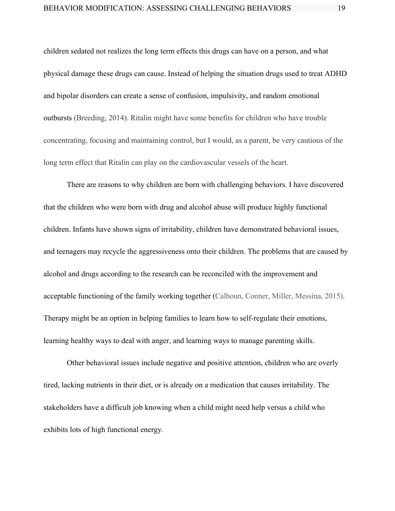children sedated not realizes the long term effects this drugs can have on a person, and what physical damage these drugs can cause. Instead of helping the situation drugs used to treat ADHD and bipolar disorders can create a sense of confusion, impulsivity, and random emotional outbursts (Breeding, 2014). Ritalin might have some benefits for children who have trouble concentrating, focusing and maintaining control, but I would, as a parent, be very cautious of the long term effect that Ritalin can play on the cardiovascular vessels of the heart.

There are reasons to why children are born with challenging behaviors. I have discovered that the children who were born with drug and alcohol abuse will produce highly functional children. Infants have shown signs of irritability, children have demonstrated behavioral issues, and teenagers may recycle the aggressiveness onto their children. The problems that are caused by alcohol and drugs according to the research can be reconciled with the improvement and acceptable functioning of the family working together (Calhoun, Conner, Miller, Messina, 2015). Therapy might be an option in helping families to learn how to self-regulate their emotions, learning healthy ways to deal with anger, and learning ways to manage parenting skills.

Other behavioral issues include negative and positive attention, children who are overly tired, lacking nutrients in their diet, or is already on a medication that causes irritability. The stakeholders have a difficult job knowing when a child might need help versus a child who exhibits lots of high functional energy.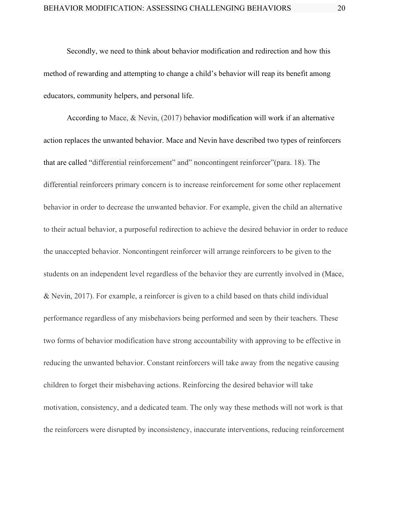Secondly, we need to think about behavior modification and redirection and how this method of rewarding and attempting to change a child's behavior will reap its benefit among educators, community helpers, and personal life.

According to Mace, & Nevin, (2017) behavior modification will work if an alternative action replaces the unwanted behavior. Mace and Nevin have described two types of reinforcers that are called "differential reinforcement" and" noncontingent reinforcer"(para. 18). The differential reinforcers primary concern is to increase reinforcement for some other replacement behavior in order to decrease the unwanted behavior. For example, given the child an alternative to their actual behavior, a purposeful redirection to achieve the desired behavior in order to reduce the unaccepted behavior. Noncontingent reinforcer will arrange reinforcers to be given to the students on an independent level regardless of the behavior they are currently involved in (Mace, & Nevin, 2017). For example, a reinforcer is given to a child based on thats child individual performance regardless of any misbehaviors being performed and seen by their teachers. These two forms of behavior modification have strong accountability with approving to be effective in reducing the unwanted behavior. Constant reinforcers will take away from the negative causing children to forget their misbehaving actions. Reinforcing the desired behavior will take motivation, consistency, and a dedicated team. The only way these methods will not work is that the reinforcers were disrupted by inconsistency, inaccurate interventions, reducing reinforcement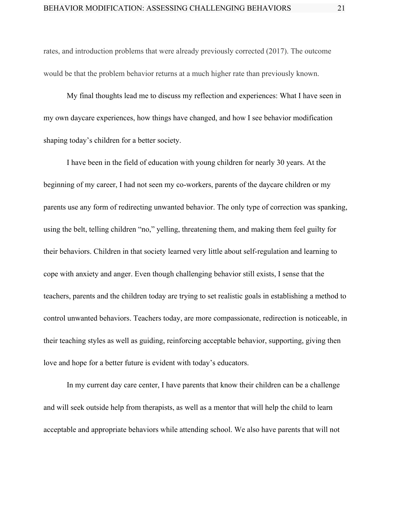rates, and introduction problems that were already previously corrected (2017). The outcome would be that the problem behavior returns at a much higher rate than previously known.

My final thoughts lead me to discuss my reflection and experiences: What I have seen in my own daycare experiences, how things have changed, and how I see behavior modification shaping today's children for a better society.

I have been in the field of education with young children for nearly 30 years. At the beginning of my career, I had not seen my co-workers, parents of the daycare children or my parents use any form of redirecting unwanted behavior. The only type of correction was spanking, using the belt, telling children "no," yelling, threatening them, and making them feel guilty for their behaviors. Children in that society learned very little about self-regulation and learning to cope with anxiety and anger. Even though challenging behavior still exists, I sense that the teachers, parents and the children today are trying to set realistic goals in establishing a method to control unwanted behaviors. Teachers today, are more compassionate, redirection is noticeable, in their teaching styles as well as guiding, reinforcing acceptable behavior, supporting, giving then love and hope for a better future is evident with today's educators.

In my current day care center, I have parents that know their children can be a challenge and will seek outside help from therapists, as well as a mentor that will help the child to learn acceptable and appropriate behaviors while attending school. We also have parents that will not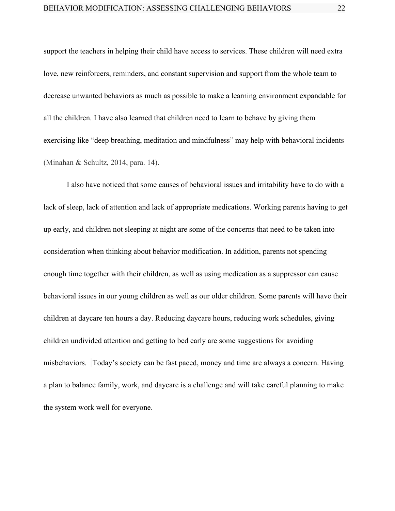support the teachers in helping their child have access to services. These children will need extra love, new reinforcers, reminders, and constant supervision and support from the whole team to decrease unwanted behaviors as much as possible to make a learning environment expandable for all the children. I have also learned that children need to learn to behave by giving them exercising like "deep breathing, meditation and mindfulness" may help with behavioral incidents (Minahan & Schultz, 2014, para. 14).

I also have noticed that some causes of behavioral issues and irritability have to do with a lack of sleep, lack of attention and lack of appropriate medications. Working parents having to get up early, and children not sleeping at night are some of the concerns that need to be taken into consideration when thinking about behavior modification. In addition, parents not spending enough time together with their children, as well as using medication as a suppressor can cause behavioral issues in our young children as well as our older children. Some parents will have their children at daycare ten hours a day. Reducing daycare hours, reducing work schedules, giving children undivided attention and getting to bed early are some suggestions for avoiding misbehaviors. Today's society can be fast paced, money and time are always a concern. Having a plan to balance family, work, and daycare is a challenge and will take careful planning to make the system work well for everyone.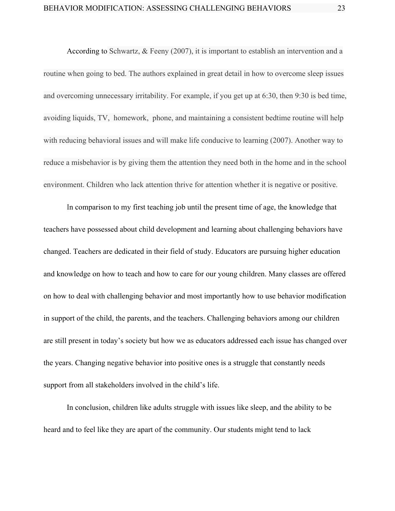According to Schwartz, & Feeny (2007), it is important to establish an intervention and a routine when going to bed. The authors explained in great detail in how to overcome sleep issues and overcoming unnecessary irritability. For example, if you get up at 6:30, then 9:30 is bed time, avoiding liquids, TV, homework, phone, and maintaining a consistent bedtime routine will help with reducing behavioral issues and will make life conducive to learning (2007). Another way to reduce a misbehavior is by giving them the attention they need both in the home and in the school environment. Children who lack attention thrive for attention whether it is negative or positive.

In comparison to my first teaching job until the present time of age, the knowledge that teachers have possessed about child development and learning about challenging behaviors have changed. Teachers are dedicated in their field of study. Educators are pursuing higher education and knowledge on how to teach and how to care for our young children. Many classes are offered on how to deal with challenging behavior and most importantly how to use behavior modification in support of the child, the parents, and the teachers. Challenging behaviors among our children are still present in today's society but how we as educators addressed each issue has changed over the years. Changing negative behavior into positive ones is a struggle that constantly needs support from all stakeholders involved in the child's life.

In conclusion, children like adults struggle with issues like sleep, and the ability to be heard and to feel like they are apart of the community. Our students might tend to lack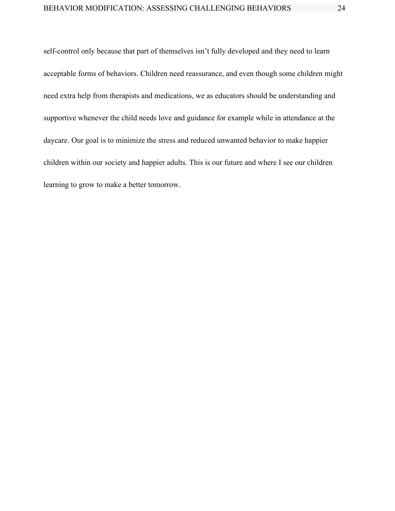self-control only because that part of themselves isn't fully developed and they need to learn acceptable forms of behaviors. Children need reassurance, and even though some children might need extra help from therapists and medications, we as educators should be understanding and supportive whenever the child needs love and guidance for example while in attendance at the daycare. Our goal is to minimize the stress and reduced unwanted behavior to make happier children within our society and happier adults. This is our future and where I see our children learning to grow to make a better tomorrow.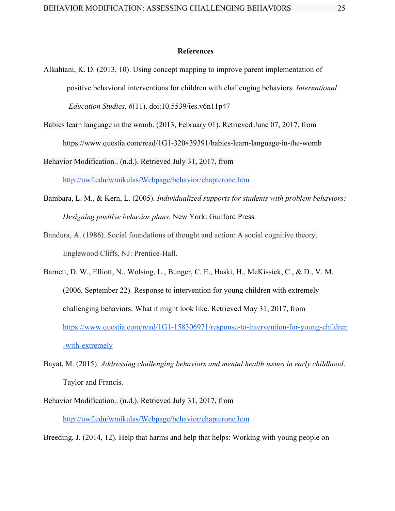#### **References**

- Alkahtani, K. D. (2013, 10). Using concept mapping to improve parent implementation of positive behavioral interventions for children with challenging behaviors. *International Education Studies, 6*(11). doi:10.5539/ies.v6n11p47
- Babies learn language in the womb. (2013, February 01). Retrieved June 07, 2017, from https://www.questia.com/read/1G1-320439391/babies-learn-language-in-the-womb

Behavior Modification.. (n.d.). Retrieved July 31, 2017, from <http://uwf.edu/wmikulas/Webpage/behavior/chapterone.htm>

- Bambara, L. M., & Kern, L. (2005). *Individualized supports for students with problem behaviors: Designing positive behavior plans*. New York: Guilford Press.
- Bandura, A. (1986). Social foundations of thought and action: A social cognitive theory. Englewood Cliffs, NJ: Prentice-Hall.

Barnett, D. W., Elliott, N., Wolsing, L., Bunger, C. E., Haski, H., McKissick, C., & D., V. M. (2006, September 22). Response to intervention for young children with extremely challenging behaviors: What it might look like. Retrieved May 31, 2017, from [https://www.questia.com/read/1G1-158306971/response-to-intervention-for-young-children](https://www.questia.com/read/1G1-158306971/response-to-intervention-for-young-children-with-extremely) [-with-extremely](https://www.questia.com/read/1G1-158306971/response-to-intervention-for-young-children-with-extremely)

- Bayat, M. (2015). *Addressing challenging behaviors and mental health issues in early childhood*. Taylor and Francis.
- Behavior Modification.. (n.d.). Retrieved July 31, 2017, from <http://uwf.edu/wmikulas/Webpage/behavior/chapterone.htm>

Breeding, J. (2014, 12). Help that harms and help that helps: Working with young people on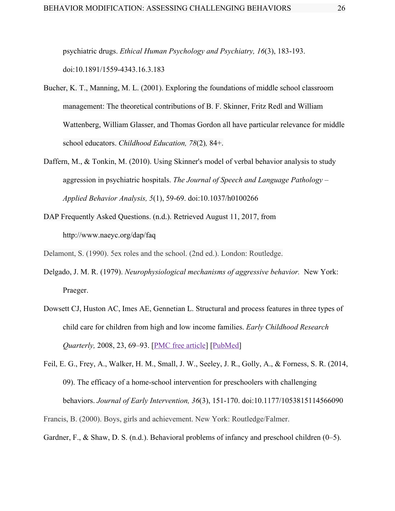psychiatric drugs. *Ethical Human Psychology and Psychiatry, 16*(3), 183-193. doi:10.1891/1559-4343.16.3.183

- Bucher, K. T., Manning, M. L. (2001). Exploring the foundations of middle school classroom management: The theoretical contributions of B. F. Skinner, Fritz Redl and William Wattenberg, William Glasser, and Thomas Gordon all have particular relevance for middle school educators. *Childhood Education, 78*(2)*,* 84+.
- Daffern, M., & Tonkin, M. (2010). Using Skinner's model of verbal behavior analysis to study aggression in psychiatric hospitals. *The Journal of Speech and Language Pathology – Applied Behavior Analysis, 5*(1), 59-69. doi:10.1037/h0100266
- DAP Frequently Asked Questions. (n.d.). Retrieved August 11, 2017, from http://www.naeyc.org/dap/faq

Delamont, S. (1990). 5ex roles and the school. (2nd ed.). London: Routledge.

- Delgado, J. M. R. (1979). *Neurophysiological mechanisms of aggressive behavior.* New York: Praeger.
- Dowsett CJ, Huston AC, Imes AE, Gennetian L. Structural and process features in three types of child care for children from high and low income families. *Early Childhood Research Quarterly,* 2008, 23, 69–93. [PMC free [article\]](https://www.ncbi.nlm.nih.gov/pmc/articles/PMC2710846/) [\[PubMed](https://www.ncbi.nlm.nih.gov/pubmed/19609366)]
- Feil, E. G., Frey, A., Walker, H. M., Small, J. W., Seeley, J. R., Golly, A., & Forness, S. R. (2014, 09). The efficacy of a home-school intervention for preschoolers with challenging behaviors. *Journal of Early Intervention, 36*(3), 151-170. doi:10.1177/1053815114566090

Francis, B. (2000). Boys, girls and achievement. New York: Routledge/Falmer.

Gardner, F., & Shaw, D. S. (n.d.). Behavioral problems of infancy and preschool children (0–5).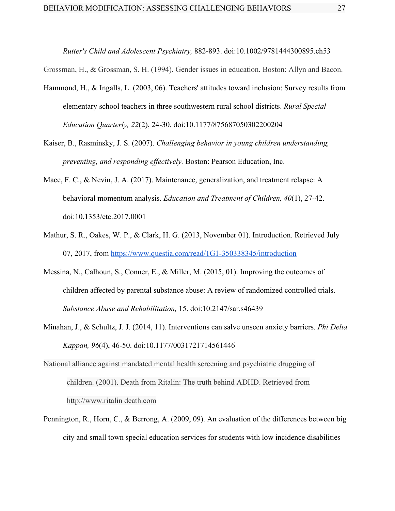*Rutter's Child and Adolescent Psychiatry,* 882-893. doi:10.1002/9781444300895.ch53

Grossman, H., & Grossman, S. H. (1994). Gender issues in education. Boston: Allyn and Bacon.

- Hammond, H., & Ingalls, L. (2003, 06). Teachers' attitudes toward inclusion: Survey results from elementary school teachers in three southwestern rural school districts. *Rural Special Education Quarterly, 22*(2), 24-30. doi:10.1177/875687050302200204
- Kaiser, B., Rasminsky, J. S. (2007). *Challenging behavior in young children understanding, preventing, and responding effectively.* Boston: Pearson Education, Inc.
- Mace, F. C., & Nevin, J. A. (2017). Maintenance, generalization, and treatment relapse: A behavioral momentum analysis. *Education and Treatment of Children, 40*(1), 27-42. doi:10.1353/etc.2017.0001
- Mathur, S. R., Oakes, W. P., & Clark, H. G. (2013, November 01). Introduction. Retrieved July 07, 2017, from <https://www.questia.com/read/1G1-350338345/introduction>
- Messina, N., Calhoun, S., Conner, E., & Miller, M. (2015, 01). Improving the outcomes of children affected by parental substance abuse: A review of randomized controlled trials. *Substance Abuse and Rehabilitation,* 15. doi:10.2147/sar.s46439
- Minahan, J., & Schultz, J. J. (2014, 11). Interventions can salve unseen anxiety barriers. *Phi Delta Kappan, 96*(4), 46-50. doi:10.1177/0031721714561446
- National alliance against mandated mental health screening and psychiatric drugging of children. (2001). Death from Ritalin: The truth behind ADHD. Retrieved from http://www.ritalin death.com
- Pennington, R., Horn, C., & Berrong, A. (2009, 09). An evaluation of the differences between big city and small town special education services for students with low incidence disabilities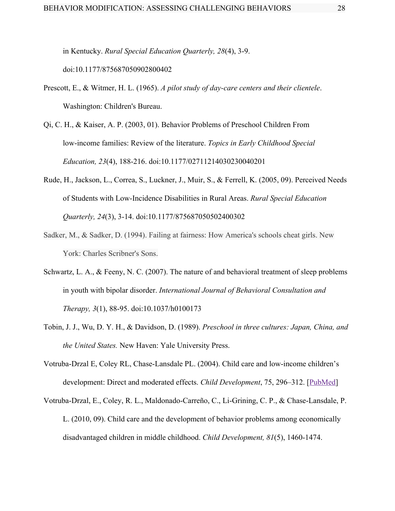in Kentucky. *Rural Special Education Quarterly, 28*(4), 3-9. doi:10.1177/875687050902800402

- Prescott, E., & Witmer, H. L. (1965). *A pilot study of day-care centers and their clientele*. Washington: Children's Bureau.
- Qi, C. H., & Kaiser, A. P. (2003, 01). Behavior Problems of Preschool Children From low-income families: Review of the literature. *Topics in Early Childhood Special Education, 23*(4), 188-216. doi:10.1177/02711214030230040201
- Rude, H., Jackson, L., Correa, S., Luckner, J., Muir, S., & Ferrell, K. (2005, 09). Perceived Needs of Students with Low-Incidence Disabilities in Rural Areas. *Rural Special Education Quarterly, 24*(3), 3-14. doi:10.1177/875687050502400302
- Sadker, M., & Sadker, D. (1994). Failing at fairness: How America's schools cheat girls. New York: Charles Scribner's Sons.
- Schwartz, L. A., & Feeny, N. C. (2007). The nature of and behavioral treatment of sleep problems in youth with bipolar disorder. *International Journal of Behavioral Consultation and Therapy, 3*(1), 88-95. doi:10.1037/h0100173
- Tobin, J. J., Wu, D. Y. H., & Davidson, D. (1989). *Preschool in three cultures: Japan, China, and the United States.* New Haven: Yale University Press.
- Votruba-Drzal E, Coley RL, Chase-Lansdale PL. (2004). Child care and low-income children's development: Direct and moderated effects. *Child Development*, 75, 296-312. [\[PubMed](https://www.ncbi.nlm.nih.gov/pubmed/15015691)]
- Votruba-Drzal, E., Coley, R. L., Maldonado-Carreño, C., Li-Grining, C. P., & Chase-Lansdale, P. L. (2010, 09). Child care and the development of behavior problems among economically disadvantaged children in middle childhood. *Child Development, 81*(5), 1460-1474.